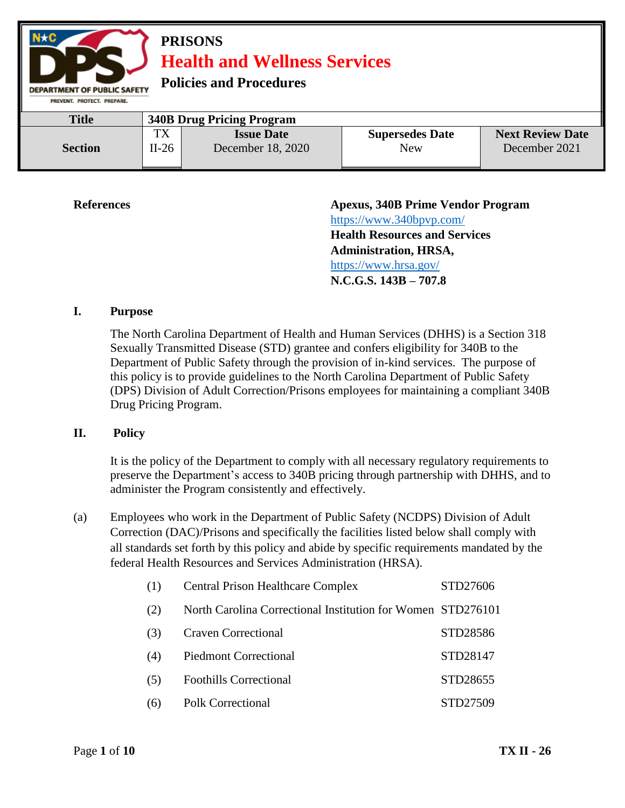

**References Apexus, 340B Prime Vendor Program**  <https://www.340bpvp.com/> **Health Resources and Services Administration, HRSA,**  <https://www.hrsa.gov/> **N.C.G.S. 143B – 707.8**

#### **I. Purpose**

The North Carolina Department of Health and Human Services (DHHS) is a Section 318 Sexually Transmitted Disease (STD) grantee and confers eligibility for 340B to the Department of Public Safety through the provision of in-kind services. The purpose of this policy is to provide guidelines to the North Carolina Department of Public Safety (DPS) Division of Adult Correction/Prisons employees for maintaining a compliant 340B Drug Pricing Program.

#### **II. Policy**

It is the policy of the Department to comply with all necessary regulatory requirements to preserve the Department's access to 340B pricing through partnership with DHHS, and to administer the Program consistently and effectively.

(a) Employees who work in the Department of Public Safety (NCDPS) Division of Adult Correction (DAC)/Prisons and specifically the facilities listed below shall comply with all standards set forth by this policy and abide by specific requirements mandated by the federal Health Resources and Services Administration (HRSA).

| (1) | <b>Central Prison Healthcare Complex</b>                    | STD27606 |
|-----|-------------------------------------------------------------|----------|
| (2) | North Carolina Correctional Institution for Women STD276101 |          |
| (3) | <b>Craven Correctional</b>                                  | STD28586 |
| (4) | <b>Piedmont Correctional</b>                                | STD28147 |
| (5) | <b>Foothills Correctional</b>                               | STD28655 |
| (6) | <b>Polk Correctional</b>                                    | STD27509 |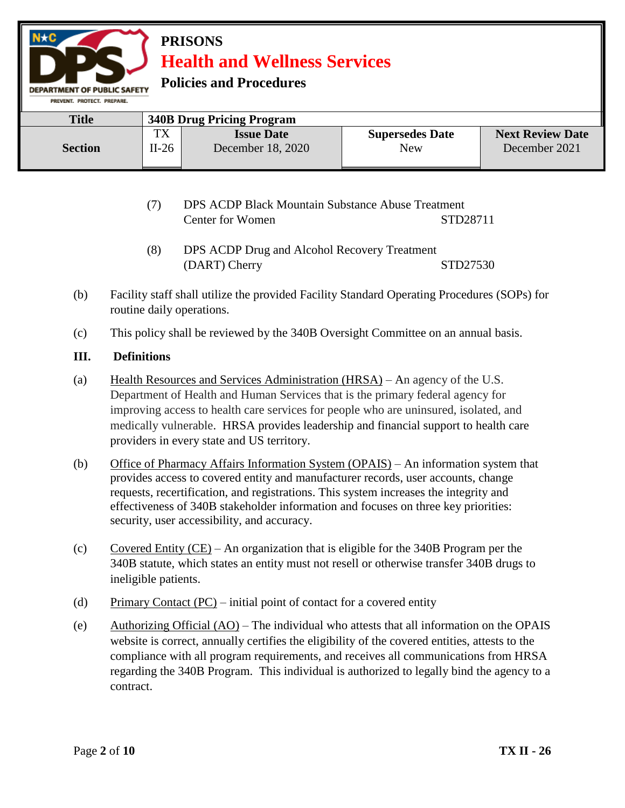

| <b>PRISONS</b> |                                     |
|----------------|-------------------------------------|
|                | <b>Health and Wellness Services</b> |

**Policies and Procedures** 

| <b>Title</b>   | <b>340B Drug Pricing Program</b> |                                        |                               |                                          |
|----------------|----------------------------------|----------------------------------------|-------------------------------|------------------------------------------|
| <b>Section</b> | тv<br>$1\Lambda$<br>$II-26$      | <b>Issue Date</b><br>December 18, 2020 | <b>Supersedes Date</b><br>New | <b>Next Review Date</b><br>December 2021 |

- (7) DPS ACDP Black Mountain Substance Abuse Treatment Center for Women STD28711
- (8) DPS ACDP Drug and Alcohol Recovery Treatment (DART) Cherry STD27530
- (b) Facility staff shall utilize the provided Facility Standard Operating Procedures (SOPs) for routine daily operations.
- (c) This policy shall be reviewed by the 340B Oversight Committee on an annual basis.

## **III. Definitions**

- (a) Health Resources and Services Administration (HRSA) An agency of the U.S. Department of Health and Human Services that is the primary federal agency for improving access to health care services for people who are uninsured, isolated, and medically vulnerable. HRSA provides leadership and financial support to health care providers in every state and US territory.
- (b) Office of Pharmacy Affairs Information System (OPAIS) An information system that provides access to covered entity and manufacturer records, user accounts, change requests, recertification, and registrations. This system increases the integrity and effectiveness of 340B stakeholder information and focuses on three key priorities: security, user accessibility, and accuracy.
- (c) Covered Entity (CE) An organization that is eligible for the 340B Program per the 340B statute, which states an entity must not resell or otherwise transfer 340B drugs to ineligible patients.
- (d) Primary Contact (PC) initial point of contact for a covered entity
- (e) Authorizing Official  $(AO)$  The individual who attests that all information on the OPAIS website is correct, annually certifies the eligibility of the covered entities, attests to the compliance with all program requirements, and receives all communications from HRSA regarding the 340B Program. This individual is authorized to legally bind the agency to a contract.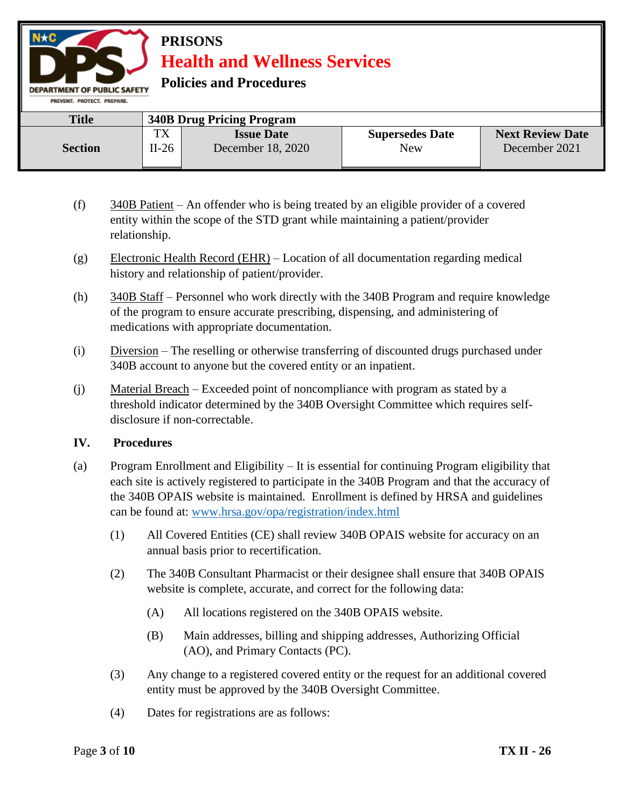

| <b>PRISONS</b>                      |  |
|-------------------------------------|--|
| <b>Health and Wellness Services</b> |  |

**Policies and Procedures** 

| PREVENT, PROTECT, PREPARE, |                      |                                        |                                      |                                          |
|----------------------------|----------------------|----------------------------------------|--------------------------------------|------------------------------------------|
| <b>Title</b>               |                      | <b>340B Drug Pricing Program</b>       |                                      |                                          |
| <b>Section</b>             | <b>TX</b><br>$II-26$ | <b>Issue Date</b><br>December 18, 2020 | <b>Supersedes Date</b><br><b>New</b> | <b>Next Review Date</b><br>December 2021 |

- (f) 340B Patient An offender who is being treated by an eligible provider of a covered entity within the scope of the STD grant while maintaining a patient/provider relationship.
- (g) Electronic Health Record (EHR) Location of all documentation regarding medical history and relationship of patient/provider.
- (h) 340B Staff Personnel who work directly with the 340B Program and require knowledge of the program to ensure accurate prescribing, dispensing, and administering of medications with appropriate documentation.
- (i) Diversion The reselling or otherwise transferring of discounted drugs purchased under 340B account to anyone but the covered entity or an inpatient.
- (j) Material Breach Exceeded point of noncompliance with program as stated by a threshold indicator determined by the 340B Oversight Committee which requires selfdisclosure if non-correctable.

#### **IV. Procedures**

- (a) Program Enrollment and Eligibility It is essential for continuing Program eligibility that each site is actively registered to participate in the 340B Program and that the accuracy of the 340B OPAIS website is maintained. Enrollment is defined by HRSA and guidelines can be found at: [www.hrsa.gov/opa/registration/index.html](http://www.hrsa.gov/opa/registration/index.html) 
	- (1) All Covered Entities (CE) shall review 340B OPAIS website for accuracy on an annual basis prior to recertification.
	- (2) The 340B Consultant Pharmacist or their designee shall ensure that 340B OPAIS website is complete, accurate, and correct for the following data:
		- (A) All locations registered on the 340B OPAIS website.
		- (B) Main addresses, billing and shipping addresses, Authorizing Official (AO), and Primary Contacts (PC).
	- (3) Any change to a registered covered entity or the request for an additional covered entity must be approved by the 340B Oversight Committee.
	- (4) Dates for registrations are as follows: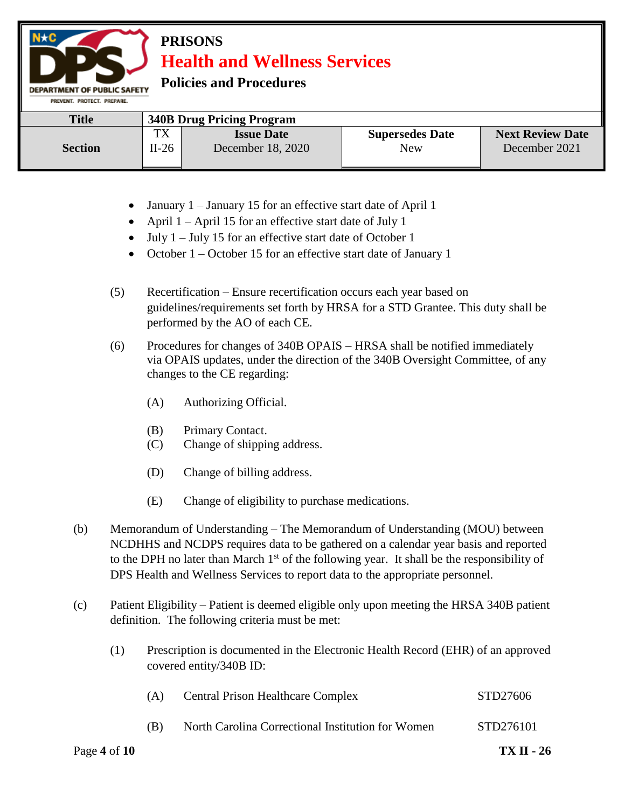# **PRISONS Health and Wellness Services**

**Policies and Procedures** 

DEPARTMENT OF PUBLIC SAFETY

| PREVENT, PROTECT, PREPARE, |                                  |                   |                        |                         |  |
|----------------------------|----------------------------------|-------------------|------------------------|-------------------------|--|
| <b>Title</b>               | <b>340B Drug Pricing Program</b> |                   |                        |                         |  |
|                            | тv<br>ıΛ                         | <b>Issue Date</b> | <b>Supersedes Date</b> | <b>Next Review Date</b> |  |
| <b>Section</b>             | $II-26$                          | December 18, 2020 | New                    | December 2021           |  |

- January 1 January 15 for an effective start date of April 1
- April  $1 -$ April 15 for an effective start date of July 1
- $\bullet$  July 1 July 15 for an effective start date of October 1
- October 1 October 15 for an effective start date of January 1
- (5) Recertification Ensure recertification occurs each year based on guidelines/requirements set forth by HRSA for a STD Grantee. This duty shall be performed by the AO of each CE.
- (6) Procedures for changes of 340B OPAIS HRSA shall be notified immediately via OPAIS updates, under the direction of the 340B Oversight Committee, of any changes to the CE regarding:
	- (A) Authorizing Official.
	- (B) Primary Contact.
	- (C) Change of shipping address.
	- (D) Change of billing address.
	- (E) Change of eligibility to purchase medications.
- (b) Memorandum of Understanding The Memorandum of Understanding (MOU) between NCDHHS and NCDPS requires data to be gathered on a calendar year basis and reported to the DPH no later than March  $1<sup>st</sup>$  of the following year. It shall be the responsibility of DPS Health and Wellness Services to report data to the appropriate personnel.
- (c) Patient Eligibility Patient is deemed eligible only upon meeting the HRSA 340B patient definition. The following criteria must be met:
	- (1) Prescription is documented in the Electronic Health Record (EHR) of an approved covered entity/340B ID:

| Page 4 of $10$ |     |                                                   | <b>TX II - 26</b> |
|----------------|-----|---------------------------------------------------|-------------------|
|                | (B) | North Carolina Correctional Institution for Women | STD276101         |
|                | (A) | <b>Central Prison Healthcare Complex</b>          | STD27606          |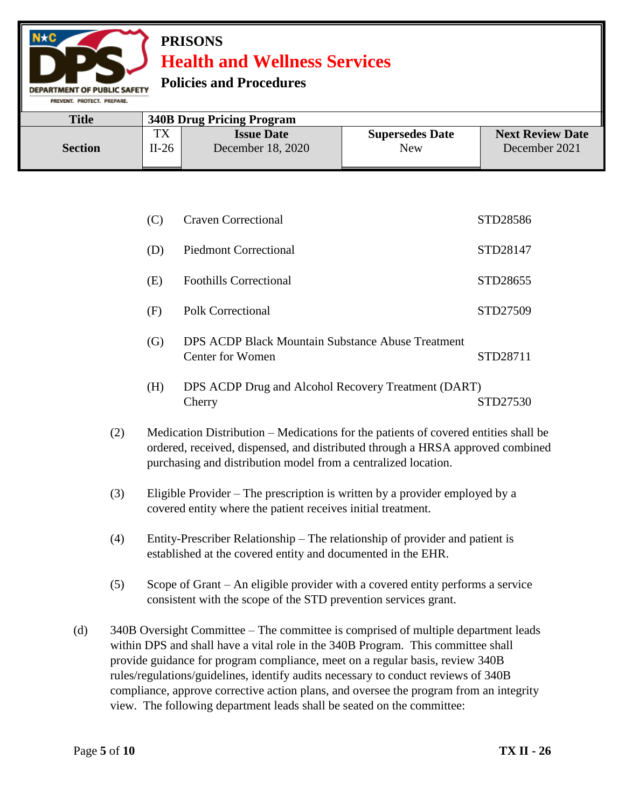# **PRISONS Health and Wellness Services**

## **Policies and Procedures**

**EPARTMENT OF PUBLIC SAFETY** 

| <b>Title</b><br><b>340B Drug Pricing Program</b> |                                                  |                                        |                               |                                          |
|--------------------------------------------------|--------------------------------------------------|----------------------------------------|-------------------------------|------------------------------------------|
| <b>Section</b>                                   | тv<br>$\mathbf{I}$ $\mathbf{\Lambda}$<br>$II-26$ | <b>Issue Date</b><br>December 18, 2020 | <b>Supersedes Date</b><br>New | <b>Next Review Date</b><br>December 2021 |

| (C) | <b>Craven Correctional</b>    | STD28586 |
|-----|-------------------------------|----------|
| (D) | <b>Piedmont Correctional</b>  | STD28147 |
| (E) | <b>Foothills Correctional</b> | STD28655 |
| (F) | <b>Polk Correctional</b>      | STD27509 |

- (G) DPS ACDP Black Mountain Substance Abuse Treatment Center for Women STD28711
- (H) DPS ACDP Drug and Alcohol Recovery Treatment (DART) Cherry STD27530
- (2) Medication Distribution Medications for the patients of covered entities shall be ordered, received, dispensed, and distributed through a HRSA approved combined purchasing and distribution model from a centralized location.
- (3) Eligible Provider The prescription is written by a provider employed by a covered entity where the patient receives initial treatment.
- (4) Entity-Prescriber Relationship The relationship of provider and patient is established at the covered entity and documented in the EHR.
- (5) Scope of Grant An eligible provider with a covered entity performs a service consistent with the scope of the STD prevention services grant.
- (d) 340B Oversight Committee The committee is comprised of multiple department leads within DPS and shall have a vital role in the 340B Program. This committee shall provide guidance for program compliance, meet on a regular basis, review 340B rules/regulations/guidelines, identify audits necessary to conduct reviews of 340B compliance, approve corrective action plans, and oversee the program from an integrity view. The following department leads shall be seated on the committee: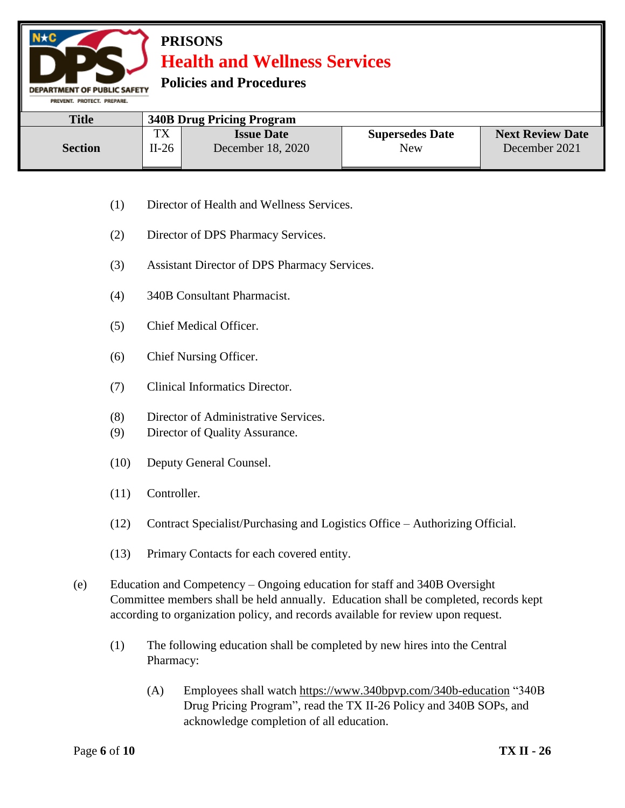# **PRISONS Health and Wellness Services**

## **Policies and Procedures**

**DEPARTMENT OF PUBLIC SAFETY** PREVENT. PROTECT. PREPARE.

| <b>Title</b>   | <b>340B Drug Pricing Program</b> |                   |                        |                         |
|----------------|----------------------------------|-------------------|------------------------|-------------------------|
| <b>Section</b> | <b>TX</b>                        | <b>Issue Date</b> | <b>Supersedes Date</b> | <b>Next Review Date</b> |
|                | $II-26$                          | December 18, 2020 | New                    | December 2021           |

- (1) Director of Health and Wellness Services.
- (2) Director of DPS Pharmacy Services.
- (3) Assistant Director of DPS Pharmacy Services.
- (4) 340B Consultant Pharmacist.
- (5) Chief Medical Officer.
- (6) Chief Nursing Officer.
- (7) Clinical Informatics Director.
- (8) Director of Administrative Services.
- (9) Director of Quality Assurance.
- (10) Deputy General Counsel.
- (11) Controller.
- (12) Contract Specialist/Purchasing and Logistics Office Authorizing Official.
- (13) Primary Contacts for each covered entity.
- (e) Education and Competency Ongoing education for staff and 340B Oversight Committee members shall be held annually. Education shall be completed, records kept according to organization policy, and records available for review upon request.
	- (1) The following education shall be completed by new hires into the Central Pharmacy:
		- (A) Employees shall watch<https://www.340bpvp.com/340b-education> "340B Drug Pricing Program", read the TX II-26 Policy and 340B SOPs, and acknowledge completion of all education.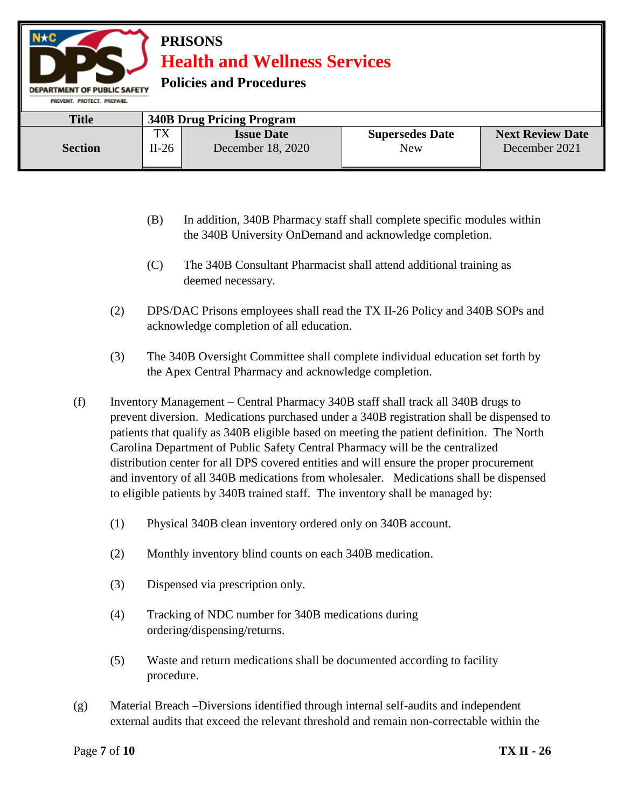

- (B) In addition, 340B Pharmacy staff shall complete specific modules within the 340B University OnDemand and acknowledge completion.
- (C) The 340B Consultant Pharmacist shall attend additional training as deemed necessary.
- (2) DPS/DAC Prisons employees shall read the TX II-26 Policy and 340B SOPs and acknowledge completion of all education.
- (3) The 340B Oversight Committee shall complete individual education set forth by the Apex Central Pharmacy and acknowledge completion.
- (f) Inventory Management Central Pharmacy 340B staff shall track all 340B drugs to prevent diversion. Medications purchased under a 340B registration shall be dispensed to patients that qualify as 340B eligible based on meeting the patient definition. The North Carolina Department of Public Safety Central Pharmacy will be the centralized distribution center for all DPS covered entities and will ensure the proper procurement and inventory of all 340B medications from wholesaler. Medications shall be dispensed to eligible patients by 340B trained staff. The inventory shall be managed by:
	- (1) Physical 340B clean inventory ordered only on 340B account.
	- (2) Monthly inventory blind counts on each 340B medication.
	- (3) Dispensed via prescription only.
	- (4) Tracking of NDC number for 340B medications during ordering/dispensing/returns.
	- (5) Waste and return medications shall be documented according to facility procedure.
- (g) Material Breach –Diversions identified through internal self-audits and independent external audits that exceed the relevant threshold and remain non-correctable within the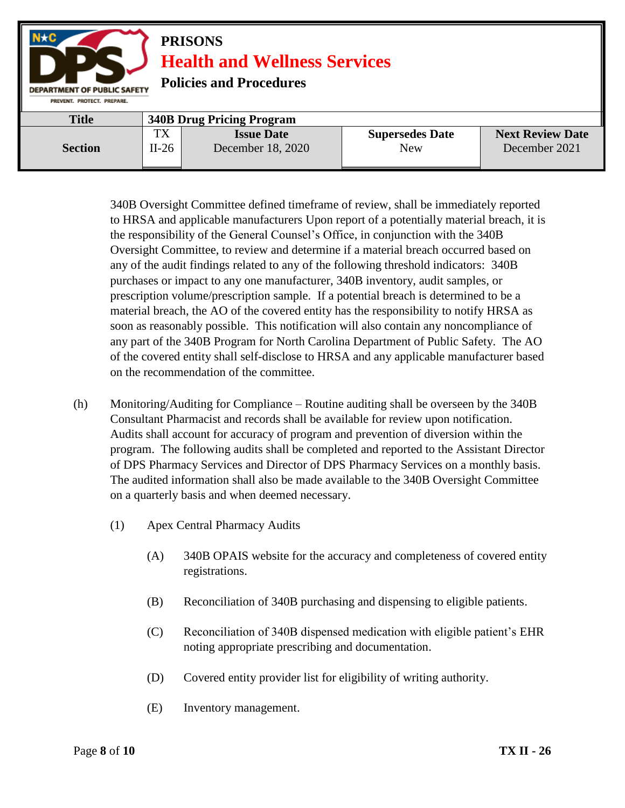

340B Oversight Committee defined timeframe of review, shall be immediately reported to HRSA and applicable manufacturers Upon report of a potentially material breach, it is the responsibility of the General Counsel's Office, in conjunction with the 340B Oversight Committee, to review and determine if a material breach occurred based on any of the audit findings related to any of the following threshold indicators: 340B purchases or impact to any one manufacturer, 340B inventory, audit samples, or prescription volume/prescription sample. If a potential breach is determined to be a material breach, the AO of the covered entity has the responsibility to notify HRSA as soon as reasonably possible. This notification will also contain any noncompliance of any part of the 340B Program for North Carolina Department of Public Safety. The AO of the covered entity shall self-disclose to HRSA and any applicable manufacturer based on the recommendation of the committee.

- (h) Monitoring/Auditing for Compliance Routine auditing shall be overseen by the 340B Consultant Pharmacist and records shall be available for review upon notification. Audits shall account for accuracy of program and prevention of diversion within the program. The following audits shall be completed and reported to the Assistant Director of DPS Pharmacy Services and Director of DPS Pharmacy Services on a monthly basis. The audited information shall also be made available to the 340B Oversight Committee on a quarterly basis and when deemed necessary.
	- (1) Apex Central Pharmacy Audits
		- (A) 340B OPAIS website for the accuracy and completeness of covered entity registrations.
		- (B) Reconciliation of 340B purchasing and dispensing to eligible patients.
		- (C) Reconciliation of 340B dispensed medication with eligible patient's EHR noting appropriate prescribing and documentation.
		- (D) Covered entity provider list for eligibility of writing authority.
		- (E) Inventory management.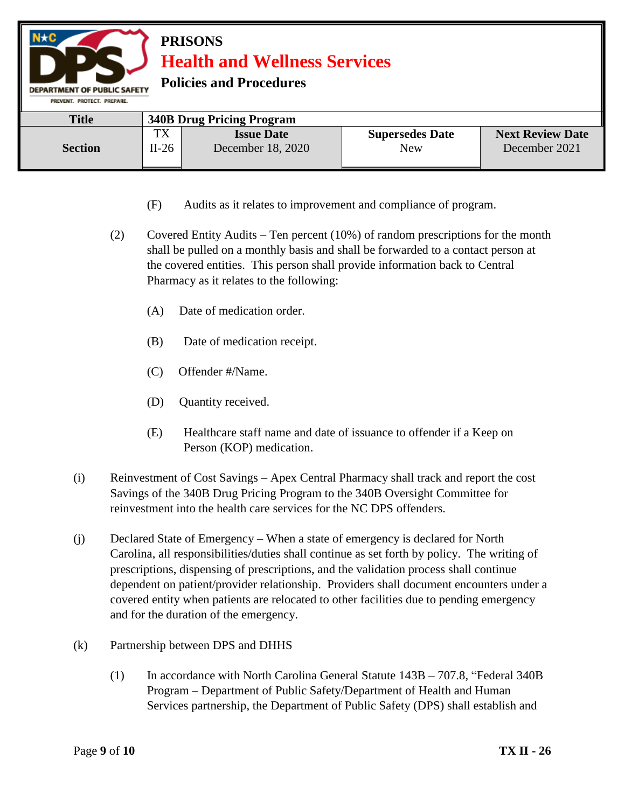| $N \star C$<br><b>PRISONS</b><br><b>Health and Wellness Services</b><br><b>Policies and Procedures</b><br><b>DEPARTMENT OF PUBLIC SAFETY</b><br>PREVENT, PROTECT, PREPARE. |               |                                        |                                      |                                          |  |
|----------------------------------------------------------------------------------------------------------------------------------------------------------------------------|---------------|----------------------------------------|--------------------------------------|------------------------------------------|--|
| <b>Title</b>                                                                                                                                                               |               | <b>340B Drug Pricing Program</b>       |                                      |                                          |  |
| <b>Section</b>                                                                                                                                                             | TX<br>$II-26$ | <b>Issue Date</b><br>December 18, 2020 | <b>Supersedes Date</b><br><b>New</b> | <b>Next Review Date</b><br>December 2021 |  |

- (F) Audits as it relates to improvement and compliance of program.
- (2) Covered Entity Audits Ten percent (10%) of random prescriptions for the month shall be pulled on a monthly basis and shall be forwarded to a contact person at the covered entities. This person shall provide information back to Central Pharmacy as it relates to the following:
	- (A) Date of medication order.
	- (B) Date of medication receipt.
	- (C) Offender #/Name.
	- (D) Quantity received.
	- (E) Healthcare staff name and date of issuance to offender if a Keep on Person (KOP) medication.
- (i) Reinvestment of Cost Savings Apex Central Pharmacy shall track and report the cost Savings of the 340B Drug Pricing Program to the 340B Oversight Committee for reinvestment into the health care services for the NC DPS offenders.
- (j) Declared State of Emergency When a state of emergency is declared for North Carolina, all responsibilities/duties shall continue as set forth by policy. The writing of prescriptions, dispensing of prescriptions, and the validation process shall continue dependent on patient/provider relationship. Providers shall document encounters under a covered entity when patients are relocated to other facilities due to pending emergency and for the duration of the emergency.
- (k) Partnership between DPS and DHHS
	- (1) In accordance with North Carolina General Statute 143B 707.8, "Federal 340B Program – Department of Public Safety/Department of Health and Human Services partnership, the Department of Public Safety (DPS) shall establish and